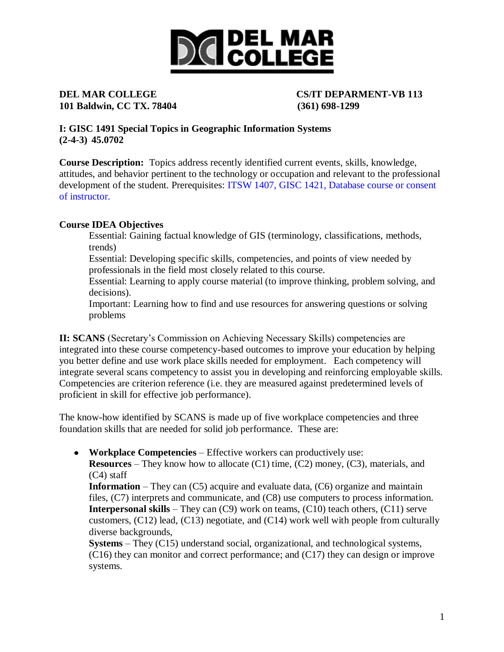# **DICIDEL MAR**<br> **DICOLLEGE**

## **101 Baldwin, CC TX. 78404 (361) 698-1299**

**DEL MAR COLLEGE CS/IT DEPARMENT-VB 113**

**I: GISC 1491 Special Topics in Geographic Information Systems (2-4-3) 45.0702**

**Course Description:** Topics address recently identified current events, skills, knowledge, attitudes, and behavior pertinent to the technology or occupation and relevant to the professional development of the student. Prerequisites: ITSW 1407, GISC 1421, Database course or consent of instructor.

### **Course IDEA Objectives**

Essential: Gaining factual knowledge of GIS (terminology, classifications, methods, trends)

Essential: Developing specific skills, competencies, and points of view needed by professionals in the field most closely related to this course.

Essential: Learning to apply course material (to improve thinking, problem solving, and decisions).

Important: Learning how to find and use resources for answering questions or solving problems

**II: SCANS** (Secretary's Commission on Achieving Necessary Skills) competencies are integrated into these course competency-based outcomes to improve your education by helping you better define and use work place skills needed for employment. Each competency will integrate several scans competency to assist you in developing and reinforcing employable skills. Competencies are criterion reference (i.e. they are measured against predetermined levels of proficient in skill for effective job performance).

The know-how identified by SCANS is made up of five workplace competencies and three foundation skills that are needed for solid job performance. These are:

**Workplace Competencies** – Effective workers can productively use: **Resources** – They know how to allocate (C1) time, (C2) money, (C3), materials, and (C4) staff

**Information** – They can (C5) acquire and evaluate data, (C6) organize and maintain files, (C7) interprets and communicate, and (C8) use computers to process information. **Interpersonal skills** – They can (C9) work on teams, (C10) teach others, (C11) serve customers, (C12) lead, (C13) negotiate, and (C14) work well with people from culturally diverse backgrounds,

**Systems** – They (C15) understand social, organizational, and technological systems, (C16) they can monitor and correct performance; and (C17) they can design or improve systems.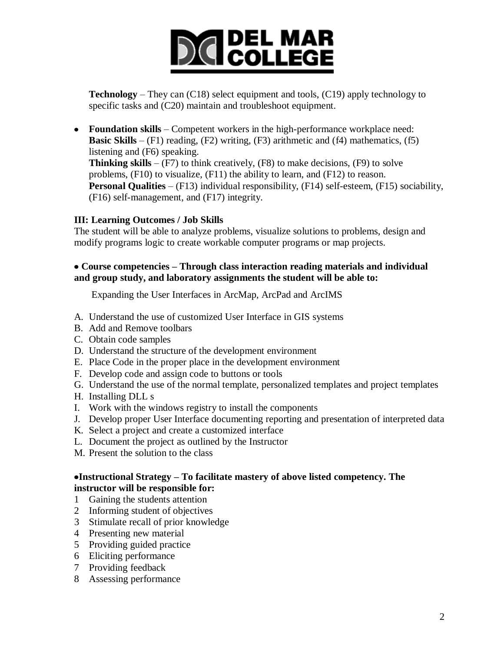# **DICIDEL MAR**<br> **DICOLLEGE**

**Technology** – They can (C18) select equipment and tools, (C19) apply technology to specific tasks and (C20) maintain and troubleshoot equipment.

**Foundation skills** – Competent workers in the high-performance workplace need: **Basic Skills** –  $(F1)$  reading,  $(F2)$  writing,  $(F3)$  arithmetic and  $(f4)$  mathematics,  $(f5)$ listening and (F6) speaking. **Thinking skills** –  $(F7)$  to think creatively,  $(F8)$  to make decisions,  $(F9)$  to solve problems, (F10) to visualize, (F11) the ability to learn, and (F12) to reason. **Personal Qualities** – (F13) individual responsibility, (F14) self-esteem, (F15) sociability, (F16) self-management, and (F17) integrity.

#### **III: Learning Outcomes / Job Skills**

The student will be able to analyze problems, visualize solutions to problems, design and modify programs logic to create workable computer programs or map projects.

#### **Course competencies – Through class interaction reading materials and individual and group study, and laboratory assignments the student will be able to:**

Expanding the User Interfaces in ArcMap, ArcPad and ArcIMS

- A. Understand the use of customized User Interface in GIS systems
- B. Add and Remove toolbars
- C. Obtain code samples
- D. Understand the structure of the development environment
- E. Place Code in the proper place in the development environment
- F. Develop code and assign code to buttons or tools
- G. Understand the use of the normal template, personalized templates and project templates
- H. Installing DLL s
- I. Work with the windows registry to install the components
- J. Develop proper User Interface documenting reporting and presentation of interpreted data
- K. Select a project and create a customized interface
- L. Document the project as outlined by the Instructor
- M. Present the solution to the class

#### **Instructional Strategy – To facilitate mastery of above listed competency. The instructor will be responsible for:**

- 1 Gaining the students attention
- 2 Informing student of objectives
- 3 Stimulate recall of prior knowledge
- 4 Presenting new material
- 5 Providing guided practice
- 6 Eliciting performance
- 7 Providing feedback
- 8 Assessing performance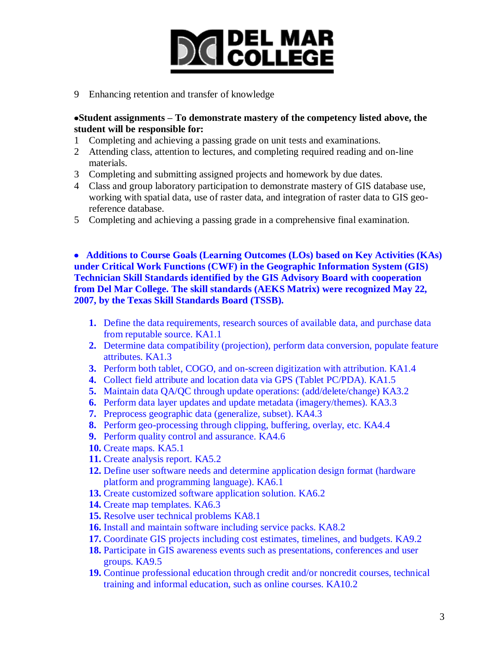# **DICIDEL MAR**<br> **DICOLLEGE**

9 Enhancing retention and transfer of knowledge

#### **Student assignments – To demonstrate mastery of the competency listed above, the student will be responsible for:**

- 1 Completing and achieving a passing grade on unit tests and examinations.
- 2 Attending class, attention to lectures, and completing required reading and on-line materials.
- 3 Completing and submitting assigned projects and homework by due dates.
- 4 Class and group laboratory participation to demonstrate mastery of GIS database use, working with spatial data, use of raster data, and integration of raster data to GIS georeference database.
- 5 Completing and achieving a passing grade in a comprehensive final examination.

 **Additions to Course Goals (Learning Outcomes (LOs) based on Key Activities (KAs) under Critical Work Functions (CWF) in the Geographic Information System (GIS) Technician Skill Standards identified by the GIS Advisory Board with cooperation from Del Mar College. The skill standards (AEKS Matrix) were recognized May 22, 2007, by the Texas Skill Standards Board (TSSB).** 

- **1.** Define the data requirements, research sources of available data, and purchase data from reputable source. KA1.1
- **2.** Determine data compatibility (projection), perform data conversion, populate feature attributes. KA1.3
- **3.** Perform both tablet, COGO, and on-screen digitization with attribution. KA1.4
- **4.** Collect field attribute and location data via GPS (Tablet PC/PDA). KA1.5
- **5.** Maintain data QA/QC through update operations: (add/delete/change) KA3.2
- **6.** Perform data layer updates and update metadata (imagery/themes). KA3.3
- **7.** Preprocess geographic data (generalize, subset). KA4.3
- **8.** Perform geo-processing through clipping, buffering, overlay, etc. KA4.4
- **9.** Perform quality control and assurance. KA4.6
- **10.** Create maps. KA5.1
- **11.** Create analysis report. KA5.2
- **12.** Define user software needs and determine application design format (hardware platform and programming language). KA6.1
- **13.** Create customized software application solution. KA6.2
- **14.** Create map templates. KA6.3
- **15.** Resolve user technical problems KA8.1
- **16.** Install and maintain software including service packs. KA8.2
- **17.** Coordinate GIS projects including cost estimates, timelines, and budgets. KA9.2
- **18.** Participate in GIS awareness events such as presentations, conferences and user groups. KA9.5
- **19.** Continue professional education through credit and/or noncredit courses, technical training and informal education, such as online courses. KA10.2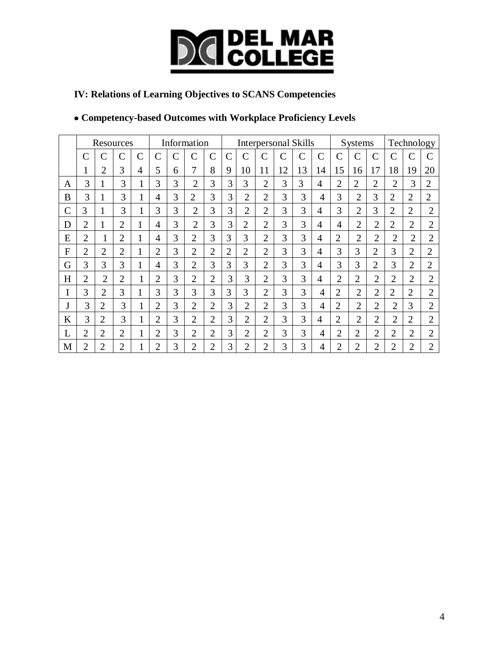

### **IV: Relations of Learning Objectives to SCANS Competencies**

### **Competency-based Outcomes with Workplace Proficiency Levels**

|               | Resources      |                |                |                | Information    |   |                |                | <b>Interpersonal Skills</b> |                |                |               |              |                |                | Systems        |                |                | Technology     |                |  |
|---------------|----------------|----------------|----------------|----------------|----------------|---|----------------|----------------|-----------------------------|----------------|----------------|---------------|--------------|----------------|----------------|----------------|----------------|----------------|----------------|----------------|--|
|               | ◠              |                | $\mathsf{C}$   | $\overline{C}$ | С              | C | C              | $\overline{C}$ | $\mathbf C$                 |                | $\overline{C}$ | $\mathcal{C}$ | $\mathsf{C}$ | C              | C              |                | $\overline{C}$ | C              | Ċ              |                |  |
|               |                | $\overline{2}$ | 3              | 4              | 5              | 6 | 7              | 8              | 9                           | 10             | 11             | 12            | 13           | 14             | 15             | 16             | 17             | 18             | 19             | 20             |  |
| A             | 3              | 1              | 3              | 1              | 3              | 3 | $\overline{2}$ | 3              | 3                           | 3              | $\overline{2}$ | 3             | 3            | 4              | $\overline{2}$ | $\overline{2}$ | $\overline{2}$ | $\overline{2}$ | 3              | $\overline{2}$ |  |
| B             | 3              | 1              | 3              | $\mathbf{1}$   | 4              | 3 | $\overline{2}$ | 3              | 3                           | $\overline{2}$ | $\overline{2}$ | 3             | 3            | 4              | 3              | $\overline{2}$ | 3              | $\overline{2}$ | $\overline{2}$ | $\overline{2}$ |  |
| $\mathcal{C}$ | 3              | $\mathbf{1}$   | 3              | 1<br>1         | 3              | 3 | $\overline{2}$ | 3              | 3                           | $\overline{2}$ | $\overline{2}$ | 3             | 3            | $\overline{4}$ | 3              | $\overline{2}$ | 3              | $\overline{2}$ | $\overline{2}$ | $\overline{2}$ |  |
| D             | $\overline{2}$ | 1              | $\overline{2}$ | $\mathbf{I}$   | 4              | 3 | $\overline{2}$ | 3              | 3                           | $\overline{2}$ | $\overline{2}$ | 3             | 3            | 4              | $\overline{4}$ | $\overline{2}$ | $\overline{2}$ | $\overline{2}$ | $\overline{2}$ | $\overline{2}$ |  |
| E             | $\overline{2}$ |                | $\overline{2}$ |                | 4              | 3 | $\overline{2}$ | 3              | 3                           | 3              | $\overline{2}$ | 3             | 3            | 4              | $\overline{2}$ | $\overline{2}$ | $\overline{2}$ | $\overline{2}$ | $\overline{2}$ | $\overline{2}$ |  |
| F             | $\overline{2}$ | $\overline{2}$ | $\overline{2}$ |                | $\overline{2}$ | 3 | $\overline{2}$ | $\overline{2}$ | $\overline{2}$              | $\overline{2}$ | $\overline{2}$ | 3             | 3            | 4              | 3              | 3              | $\overline{2}$ | 3              | $\overline{2}$ | $\overline{2}$ |  |
| G             | 3              | 3              | 3              |                | 4              | 3 | $\overline{2}$ | 3              | 3                           | 3              | $\overline{2}$ | 3             | 3            | 4              | 3              | 3              | $\overline{2}$ | 3              | $\overline{2}$ | $\overline{2}$ |  |
| H             | $\overline{2}$ | $\overline{2}$ | $\overline{2}$ | $\mathbf{1}$   | $\overline{2}$ | 3 | $\overline{2}$ | $\overline{2}$ | 3                           | 3              | $\overline{2}$ | 3             | 3            | 4              | $\overline{2}$ | $\overline{2}$ | $\overline{2}$ | $\overline{2}$ | $\overline{2}$ | $\overline{2}$ |  |
| I             | 3              | $\overline{2}$ | 3              | $\mathbf{I}$   | 3              | 3 | 3              | 3              | 3                           | 3              | $\overline{2}$ | 3             | 3            | 4              | $\overline{2}$ | $\overline{2}$ | $\overline{2}$ | $\overline{2}$ | $\overline{2}$ | $\overline{2}$ |  |
| J             | 3              | $\overline{2}$ | 3              | 1              | $\overline{2}$ | 3 | $\overline{2}$ | $\overline{2}$ | 3                           | $\overline{2}$ | $\overline{2}$ | 3             | 3            | $\overline{4}$ | $\overline{2}$ | $\overline{2}$ | $\overline{2}$ | $\overline{2}$ | 3              | $\overline{2}$ |  |
| K             | 3              | $\overline{2}$ | 3              | 1<br>1         | $\overline{2}$ | 3 | $\overline{2}$ | $\overline{2}$ | 3                           | $\overline{2}$ | $\overline{2}$ | 3             | 3            | 4              | $\overline{2}$ | $\overline{2}$ | $\overline{2}$ | $\overline{2}$ | $\overline{2}$ | $\overline{2}$ |  |
| L             | $\overline{2}$ | $\overline{2}$ | $\overline{2}$ | 1<br>1         | $\overline{2}$ | 3 | $\overline{2}$ | $\overline{2}$ | 3                           | $\overline{2}$ | $\overline{2}$ | 3             | 3            | 4              | $\overline{2}$ | $\overline{2}$ | $\overline{2}$ | $\overline{2}$ | $\overline{2}$ | $\overline{2}$ |  |
| М             | $\overline{2}$ | $\overline{2}$ | $\overline{2}$ | 1              | $\overline{2}$ | 3 | $\overline{2}$ | $\overline{2}$ | 3                           | $\overline{2}$ | $\overline{2}$ | 3             | 3            | 4              | 2              | 2              | $\overline{2}$ | $\overline{2}$ | $\overline{2}$ | $\overline{2}$ |  |